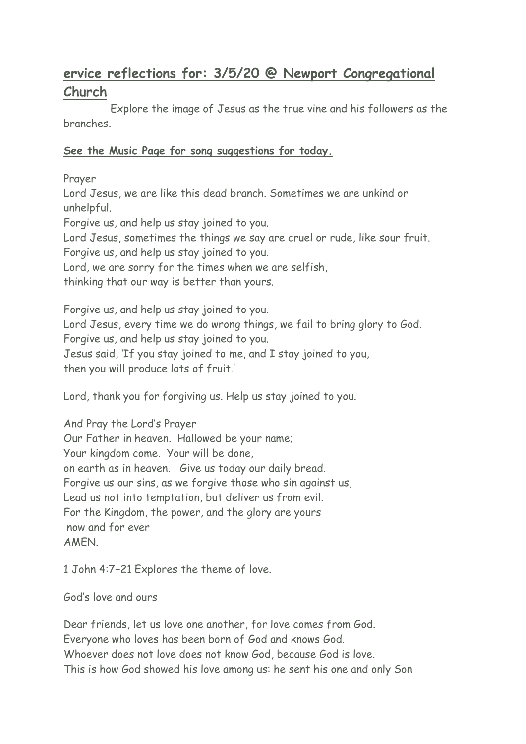## ervice reflections for: 3/5/20 @ Newport Congregational Church

 Explore the image of Jesus as the true vine and his followers as the branches.

## See the Music Page for song suggestions for today.

Prayer Lord Jesus, we are like this dead branch. Sometimes we are unkind or unhelpful. Forgive us, and help us stay joined to you. Lord Jesus, sometimes the things we say are cruel or rude, like sour fruit. Forgive us, and help us stay joined to you. Lord, we are sorry for the times when we are selfish, thinking that our way is better than yours.

Forgive us, and help us stay joined to you. Lord Jesus, every time we do wrong things, we fail to bring glory to God. Forgive us, and help us stay joined to you. Jesus said, 'If you stay joined to me, and I stay joined to you, then you will produce lots of fruit.'

Lord, thank you for forgiving us. Help us stay joined to you.

And Pray the Lord's Prayer Our Father in heaven. Hallowed be your name; Your kingdom come. Your will be done, on earth as in heaven. Give us today our daily bread. Forgive us our sins, as we forgive those who sin against us, Lead us not into temptation, but deliver us from evil. For the Kingdom, the power, and the glory are yours now and for ever AMEN.

1 John 4:7−21 Explores the theme of love.

God's love and ours

Dear friends, let us love one another, for love comes from God. Everyone who loves has been born of God and knows God. Whoever does not love does not know God, because God is love. This is how God showed his love among us: he sent his one and only Son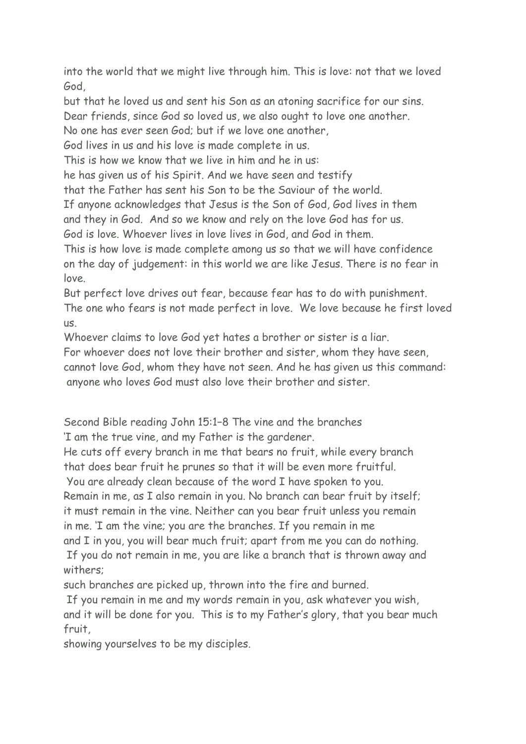into the world that we might live through him. This is love: not that we loved God,

but that he loved us and sent his Son as an atoning sacrifice for our sins. Dear friends, since God so loved us, we also ought to love one another.

No one has ever seen God; but if we love one another,

God lives in us and his love is made complete in us.

This is how we know that we live in him and he in us:

he has given us of his Spirit. And we have seen and testify

that the Father has sent his Son to be the Saviour of the world.

If anyone acknowledges that Jesus is the Son of God, God lives in them

and they in God. And so we know and rely on the love God has for us.

God is love. Whoever lives in love lives in God, and God in them.

This is how love is made complete among us so that we will have confidence on the day of judgement: in this world we are like Jesus. There is no fear in love.

But perfect love drives out fear, because fear has to do with punishment. The one who fears is not made perfect in love. We love because he first loved us.

Whoever claims to love God yet hates a brother or sister is a liar.

For whoever does not love their brother and sister, whom they have seen, cannot love God, whom they have not seen. And he has given us this command: anyone who loves God must also love their brother and sister.

Second Bible reading John 15:1−8 The vine and the branches

'I am the true vine, and my Father is the gardener.

He cuts off every branch in me that bears no fruit, while every branch that does bear fruit he prunes so that it will be even more fruitful. You are already clean because of the word I have spoken to you.

Remain in me, as I also remain in you. No branch can bear fruit by itself; it must remain in the vine. Neither can you bear fruit unless you remain in me. 'I am the vine; you are the branches. If you remain in me

and I in you, you will bear much fruit; apart from me you can do nothing. If you do not remain in me, you are like a branch that is thrown away and withers;

such branches are picked up, thrown into the fire and burned.

 If you remain in me and my words remain in you, ask whatever you wish, and it will be done for you. This is to my Father's glory, that you bear much fruit,

showing yourselves to be my disciples.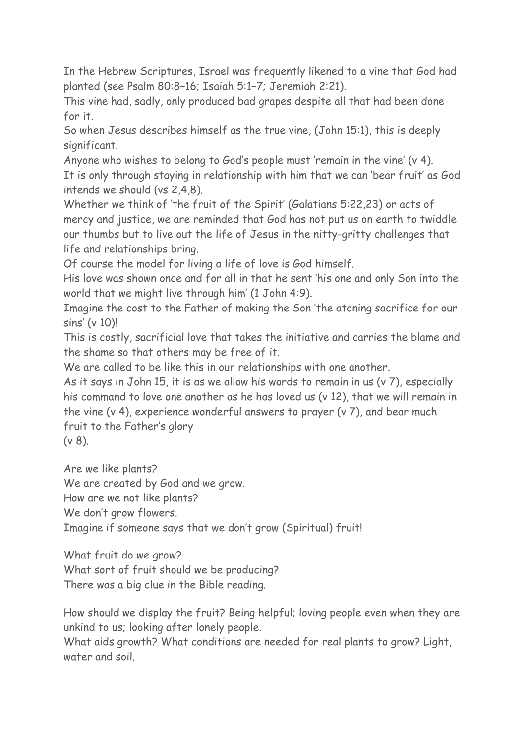In the Hebrew Scriptures, Israel was frequently likened to a vine that God had planted (see Psalm 80:8−16; Isaiah 5:1−7; Jeremiah 2:21).

This vine had, sadly, only produced bad grapes despite all that had been done for it.

So when Jesus describes himself as the true vine, (John 15:1), this is deeply significant.

Anyone who wishes to belong to God's people must 'remain in the vine' (v 4). It is only through staying in relationship with him that we can 'bear fruit' as God intends we should (vs 2,4,8).

Whether we think of 'the fruit of the Spirit' (Galatians 5:22,23) or acts of mercy and justice, we are reminded that God has not put us on earth to twiddle our thumbs but to live out the life of Jesus in the nitty-gritty challenges that life and relationships bring.

Of course the model for living a life of love is God himself.

His love was shown once and for all in that he sent 'his one and only Son into the world that we might live through him' (1 John 4:9).

Imagine the cost to the Father of making the Son 'the atoning sacrifice for our sins' (v 10)!

This is costly, sacrificial love that takes the initiative and carries the blame and the shame so that others may be free of it.

We are called to be like this in our relationships with one another.

As it says in John 15, it is as we allow his words to remain in us (v 7), especially his command to love one another as he has loved us (v 12), that we will remain in the vine (v 4), experience wonderful answers to prayer (v 7), and bear much fruit to the Father's glory

 $(v 8)$ .

Are we like plants? We are created by God and we grow. How are we not like plants? We don't grow flowers. Imagine if someone says that we don't grow (Spiritual) fruit!

What fruit do we grow? What sort of fruit should we be producing? There was a big clue in the Bible reading.

How should we display the fruit? Being helpful; loving people even when they are unkind to us; looking after lonely people.

What aids growth? What conditions are needed for real plants to grow? Light, water and soil.